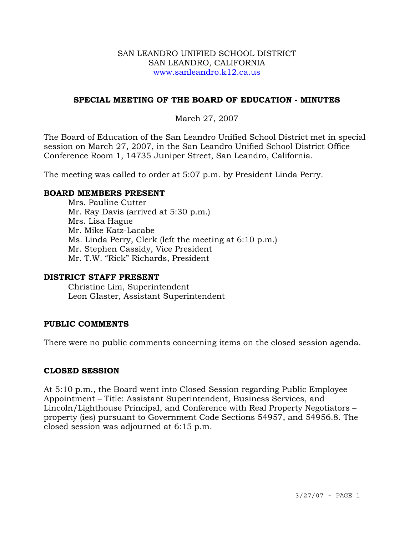#### SAN LEANDRO UNIFIED SCHOOL DISTRICT SAN LEANDRO, CALIFORNIA www.sanleandro.k12.ca.us

# **SPECIAL MEETING OF THE BOARD OF EDUCATION - MINUTES**

# March 27, 2007

The Board of Education of the San Leandro Unified School District met in special session on March 27, 2007, in the San Leandro Unified School District Office Conference Room 1, 14735 Juniper Street, San Leandro, California.

The meeting was called to order at 5:07 p.m. by President Linda Perry.

#### **BOARD MEMBERS PRESENT**

Mrs. Pauline Cutter Mr. Ray Davis (arrived at 5:30 p.m.) Mrs. Lisa Hague Mr. Mike Katz-Lacabe Ms. Linda Perry, Clerk (left the meeting at 6:10 p.m.) Mr. Stephen Cassidy, Vice President Mr. T.W. "Rick" Richards, President

#### **DISTRICT STAFF PRESENT**

Christine Lim, Superintendent Leon Glaster, Assistant Superintendent

#### **PUBLIC COMMENTS**

There were no public comments concerning items on the closed session agenda.

#### **CLOSED SESSION**

At 5:10 p.m., the Board went into Closed Session regarding Public Employee Appointment – Title: Assistant Superintendent, Business Services, and Lincoln/Lighthouse Principal, and Conference with Real Property Negotiators – property (ies) pursuant to Government Code Sections 54957, and 54956.8. The closed session was adjourned at 6:15 p.m.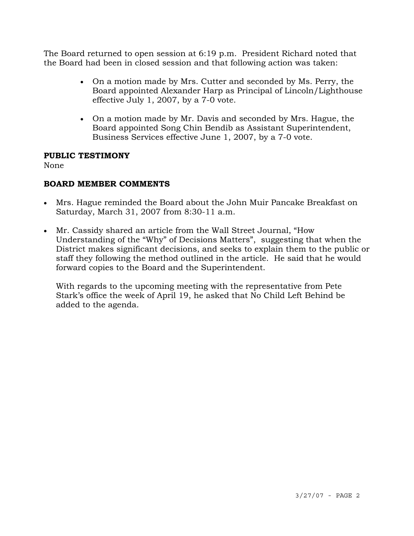The Board returned to open session at 6:19 p.m. President Richard noted that the Board had been in closed session and that following action was taken:

- On a motion made by Mrs. Cutter and seconded by Ms. Perry, the Board appointed Alexander Harp as Principal of Lincoln/Lighthouse effective July 1, 2007, by a 7-0 vote.
- On a motion made by Mr. Davis and seconded by Mrs. Hague, the Board appointed Song Chin Bendib as Assistant Superintendent, Business Services effective June 1, 2007, by a 7-0 vote.

### **PUBLIC TESTIMONY**

None

# **BOARD MEMBER COMMENTS**

- Mrs. Hague reminded the Board about the John Muir Pancake Breakfast on Saturday, March 31, 2007 from 8:30-11 a.m.
- Mr. Cassidy shared an article from the Wall Street Journal, "How Understanding of the "Why" of Decisions Matters", suggesting that when the District makes significant decisions, and seeks to explain them to the public or staff they following the method outlined in the article. He said that he would forward copies to the Board and the Superintendent.

 With regards to the upcoming meeting with the representative from Pete Stark's office the week of April 19, he asked that No Child Left Behind be added to the agenda.